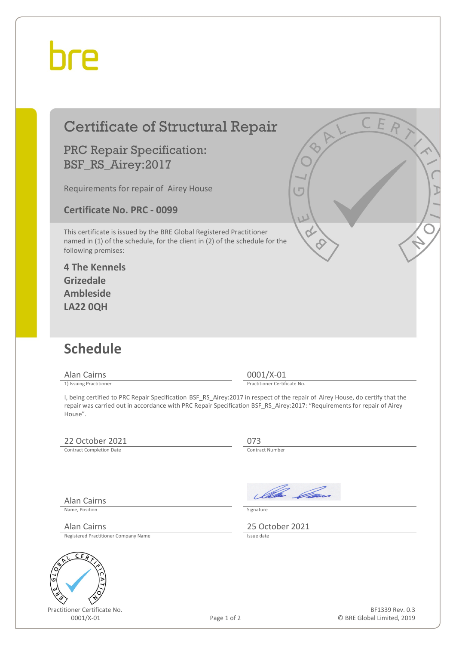## bre

| <b>Certificate of Structural Repair</b>                                                                                                                                    | CEA                                                                                                                           |
|----------------------------------------------------------------------------------------------------------------------------------------------------------------------------|-------------------------------------------------------------------------------------------------------------------------------|
| <b>PRC Repair Specification:</b><br>BSF_RS_Airey:2017                                                                                                                      | $\overline{Q}_{1}$                                                                                                            |
| Requirements for repair of Airey House                                                                                                                                     | <b>T</b>                                                                                                                      |
| <b>Certificate No. PRC - 0099</b>                                                                                                                                          | U                                                                                                                             |
| This certificate is issued by the BRE Global Registered Practitioner<br>named in (1) of the schedule, for the client in (2) of the schedule for the<br>following premises: |                                                                                                                               |
| <b>4 The Kennels</b><br><b>Grizedale</b>                                                                                                                                   |                                                                                                                               |
| <b>Ambleside</b>                                                                                                                                                           |                                                                                                                               |
| <b>LA22 0QH</b>                                                                                                                                                            |                                                                                                                               |
|                                                                                                                                                                            |                                                                                                                               |
| <b>Schedule</b>                                                                                                                                                            |                                                                                                                               |
| <b>Alan Cairns</b>                                                                                                                                                         | $0001/X-01$<br>Practitioner Certificate No.                                                                                   |
| 1) Issuing Practitioner<br>repair was carried out in accordance with PRC Repair Specification BSF RS Airey:2017: "Requirements for repair of Airey<br>House".              | I, being certified to PRC Repair Specification BSF_RS_Airey:2017 in respect of the repair of Airey House, do certify that the |
| 22 October 2021                                                                                                                                                            | 073                                                                                                                           |
| <b>Contract Completion Date</b>                                                                                                                                            | Contract Number                                                                                                               |
|                                                                                                                                                                            |                                                                                                                               |
| <b>Alan Cairns</b>                                                                                                                                                         | Illa <i>Ca</i> n                                                                                                              |
| Name. Position                                                                                                                                                             | Signature                                                                                                                     |
| <b>Alan Cairns</b><br>Registered Practitioner Company Name                                                                                                                 | 25 October 2021<br>Issue date                                                                                                 |
| CE                                                                                                                                                                         |                                                                                                                               |
| 610                                                                                                                                                                        |                                                                                                                               |
|                                                                                                                                                                            |                                                                                                                               |
|                                                                                                                                                                            |                                                                                                                               |

Practitioner Certificate No.